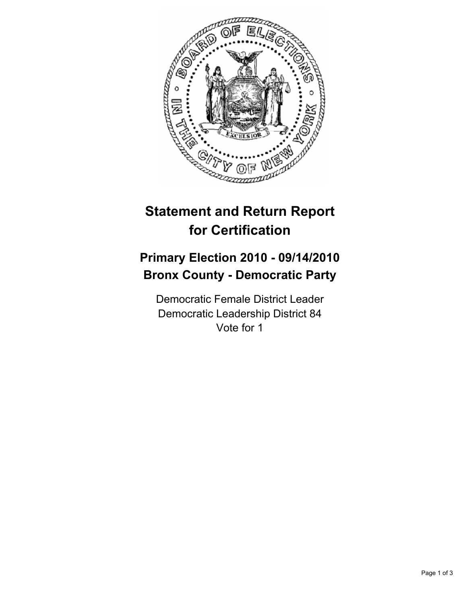

## **Statement and Return Report for Certification**

## **Primary Election 2010 - 09/14/2010 Bronx County - Democratic Party**

Democratic Female District Leader Democratic Leadership District 84 Vote for 1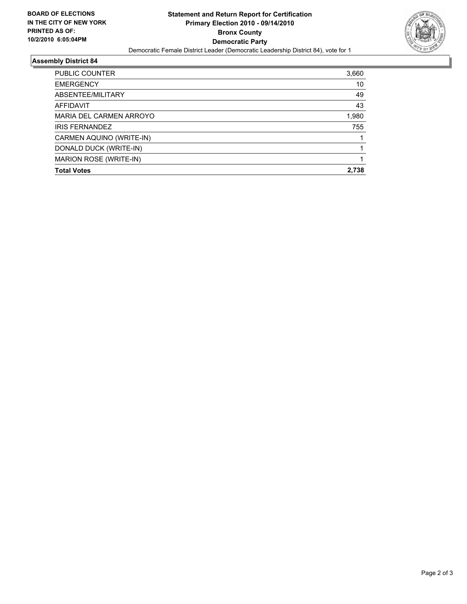

## **Assembly District 84**

| <b>PUBLIC COUNTER</b>    | 3,660 |
|--------------------------|-------|
| <b>EMERGENCY</b>         | 10    |
| ABSENTEE/MILITARY        | 49    |
| AFFIDAVIT                | 43    |
| MARIA DEL CARMEN ARROYO  | 1,980 |
| <b>IRIS FERNANDEZ</b>    | 755   |
| CARMEN AQUINO (WRITE-IN) |       |
| DONALD DUCK (WRITE-IN)   |       |
| MARION ROSE (WRITE-IN)   |       |
| <b>Total Votes</b>       | 2.738 |
|                          |       |